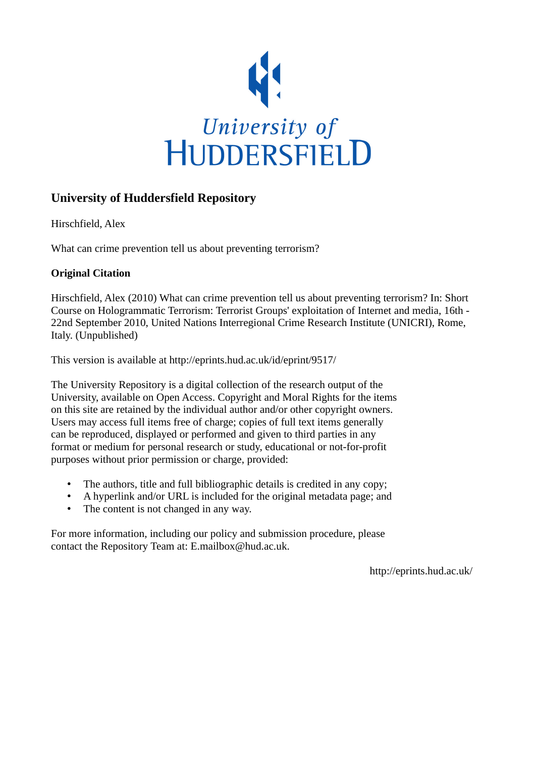

### **University of Huddersfield Repository**

Hirschfield, Alex

What can crime prevention tell us about preventing terrorism?

### **Original Citation**

Hirschfield, Alex (2010) What can crime prevention tell us about preventing terrorism? In: Short Course on Hologrammatic Terrorism: Terrorist Groups' exploitation of Internet and media, 16th - 22nd September 2010, United Nations Interregional Crime Research Institute (UNICRI), Rome, Italy. (Unpublished)

This version is available at http://eprints.hud.ac.uk/id/eprint/9517/

The University Repository is a digital collection of the research output of the University, available on Open Access. Copyright and Moral Rights for the items on this site are retained by the individual author and/or other copyright owners. Users may access full items free of charge; copies of full text items generally can be reproduced, displayed or performed and given to third parties in any format or medium for personal research or study, educational or not-for-profit purposes without prior permission or charge, provided:

- The authors, title and full bibliographic details is credited in any copy;
- A hyperlink and/or URL is included for the original metadata page; and
- The content is not changed in any way.

For more information, including our policy and submission procedure, please contact the Repository Team at: E.mailbox@hud.ac.uk.

http://eprints.hud.ac.uk/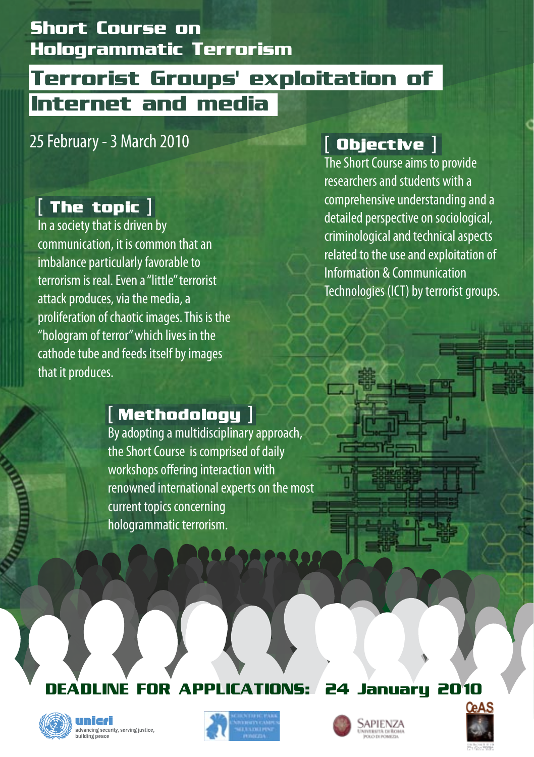# **Short Course on Hologrammatic Terrorism**

# **Terrorist Groups' exploitation of Internet and media**

### 25 February - 3 March 2010

# [ **The topic** ]

In a society that is driven by communication, it is common that an imbalance particularly favorable to terrorism is real. Even a "little" terrorist attack produces, via the media, a proliferation of chaotic images. This is the "hologram of terror" which lives in the cathode tube and feeds itself by images that it produces.

## [ **Objective** ]

The Short Course aims to provide researchers and students with a comprehensive understanding and a detailed perspective on sociological, criminological and technical aspects related to the use and exploitation of Information & Communication Technologies (ICT) by terrorist groups.

### [ **Methodology** ]

By adopting a multidisciplinary approach, the Short Course is comprised of daily workshops offering interaction with renowned international experts on the most current topics concerning hologrammatic terrorism.

### **LINE FOR APPLICATIONS: 24 January 2010**